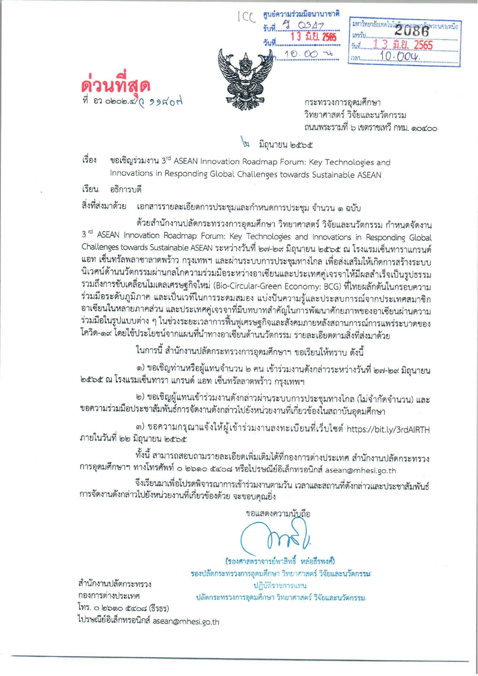ศูนย์ความร่วมมือนานาชาติ  $90347$ 3 มิ.ยี. 2565

 $10.00$ 

|        | มหาวิทยาลัยเทคโนโอรี่พระออมเกล้าพระนครเหนือ |
|--------|---------------------------------------------|
| เลขรับ |                                             |
| วันที่ |                                             |
| 1331.  | 0.004.                                      |

กระทรวงการอุดมศึกษา วิทยาศาสตร์ วิจัยและนวัตกรรม ถนนพระรามที่ ๖ เขตราชเทวี กทม. ๑๐๔๐๐

# มิถุนายน ๒๕๖๕

ขอเชิญร่วมงาน 3rd ASEAN Innovation Roadmap Forum: Key Technologies and เรื่อง Innovations in Responding Global Challenges towards Sustainable ASEAN

เรียน อธิการบดี

ที่ อว obob.ส) ( ว ว ค อ ท่

เอกสารรายละเอียดการประชุมและกำหนดการประชุม จำนวน ๑ ฉบับ สิ่งที่ส่งมาด้วย

ด้วยสำนักงานปลัดกระทรวงการอุดมศึกษา วิทยาศาสตร์ วิจัยและนวัตกรรม กำหนดจัดงาน 3<sup>rd</sup> ASEAN Innovation Roadmap Forum: Key Technologies and Innovations in Responding Global Challenges towards Sustainable ASEAN ระหว่างวันที่ ๒๗-๒๙ มิถุนายน ๒๕๖๕ ณ โรงแรมเซ็นทาราแกรนด์ แอท เซ็นทรัลพลาซาลาดพร้าว กรุงเทพฯ และผ่านระบบการประชุมทางไกล เพื่อส่งเสริมให้เกิดการสร้างระบบ นิเวศน์ด้านนวัตกรรมผ่านกลไกความร่วมมือระหว่างอาเซียนและประเทศคู่เจรจาให้มีผลสำเร็จเป็นรูปธรรม รวมถึงการขับเคลื่อนโมเดลเศรษฐกิจใหม่ (Bio-Circular-Green Economy: BCG) ที่ไทยผลักดันในกรอบความ ร่วมมือระดับภูมิภาค และเป็นเวทีในการระดมสมอง แบ่งปันความรู้และประสบการณ์จากประเทศสมาชิก อาเซียนในหลายภาคส่วน และประเทศคู่เจรจาที่มีบทบาทสำคัญในการพัฒนาศักยภาพของอาเซียนผ่านความ ร่วมมือในรูปแบบต่าง ๆ ในช่วงระยะเวลาการฟื้นฟูเศรษฐกิจและสังคมภายหลังสถานการณ์การแพร่ระบาดของ โควิด-๑๙ โดยใช้ประโยชน์จากแผนที่นำทางอาเซียนด้านนวัตกรรม รายละเอียดตามสิ่งที่ส่งมาด้วย

ในการนี้ สำนักงานปลัดกระทรวงการอุดมศึกษาฯ ขอเรียนให้ทราบ ดังนี้

๑) ขอเชิญท่านหรือผู้แทนจำนวน ๒ คน เข้าร่วมงานดังกล่าวระหว่างวันที่ ๒๗-๒๙ มิถุนายน ๒๕๖๕ ณ โรงแรมเช็นทารา แกรนด์ แอท เซ็นทรัลลาดพร้าว กรุงเทพฯ

๒) ขอเชิญผู้แทนเข้าร่วมงานดังกล่าวผ่านระบบการประชุมทางไกล (ไม่จำกัดจำนวน) และ ขอความร่วมมือประชาสัมพันธ์การจัดงานดังกล่าวไปยังหน่วยงานที่เกี่ยวข้องในสถาบันอุดมศึกษา

๓) ขอความกรุณาแจ้งให้ผู้เข้าร่วมงานลงทะเบียนที่เว็บไซต์ https://bit.ly/3rdAIRTH ภายในวันที่ ๒๒ มิถุนายน ๒๕๖๕

ทั้งนี้ สามารถสอบถามรายละเอียดเพิ่มเติมได้ที่กองการต่างประเทศ สำนักงานปลัดกระทรวง การอุดมศึกษาฯ ทางโทรศัพท์ ๐ ๒๖๑๐ ๕๔๐๘ หรือไปรษณีย์อิเล็กทรอนิกส์ asean@mhesi.go.th

จึงเรียนมาเพื่อโปรดพิจารณาการเข้าร่วมงานตามวัน เวลาและสถานที่ดังกล่าวและประชาสัมพันธ์ การจัดงานดังกล่าวไปยังหน่วยงานที่เกี่ยวข้องด้วย จะขอบคุณยิ่ง

ขอแสดงความนับถือ

(รองศาสตราจารย์พาสิทธิ์ หล่อธีรพงศ์) รองปลัดกระทรวงการอุดมศึกษา วิทยาศาสตร์ วิจัยและนวัตกรรม ปฏิบัติราชการแทน ปลัดกระทรวงการอุดมศึกษา วิทยาศาสตร์ วิจัยและนวัตกรรม.

สำนักงานปลัดกระทรวง กองการต่างประเทศ โทร. ๐ ๒๖๑๐ ๕๔๐๘ (ธีรธร) ไปรษณีย์อิเล็กทรอนิกส์ asean@mhesi.go.th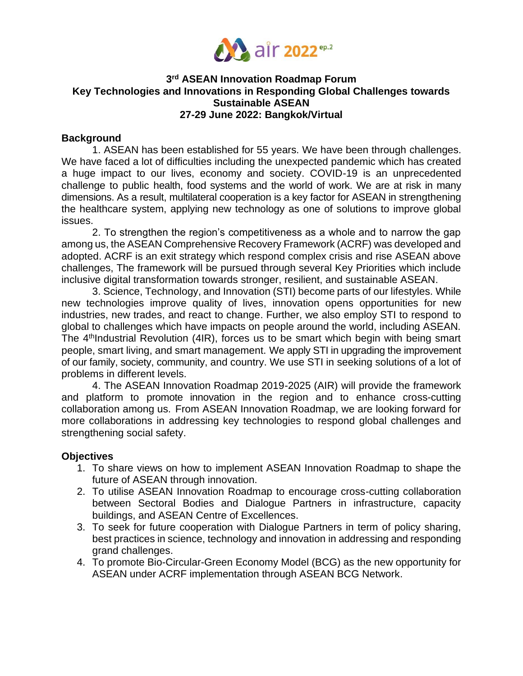

## **3 rd ASEAN Innovation Roadmap Forum Key Technologies and Innovations in Responding Global Challenges towards Sustainable ASEAN 27-29 June 2022: Bangkok/Virtual**

#### **Background**

1. ASEAN has been established for 55 years. We have been through challenges. We have faced a lot of difficulties including the unexpected pandemic which has created a huge impact to our lives, economy and society. COVID-19 is an unprecedented challenge to public health, food systems and the world of work. We are at risk in many dimensions. As a result, multilateral cooperation is a key factor for ASEAN in strengthening the healthcare system, applying new technology as one of solutions to improve global issues.

2. To strengthen the region's competitiveness as a whole and to narrow the gap among us, the ASEAN Comprehensive Recovery Framework (ACRF) was developed and adopted. ACRF is an exit strategy which respond complex crisis and rise ASEAN above challenges, The framework will be pursued through several Key Priorities which include inclusive digital transformation towards stronger, resilient, and sustainable ASEAN.

3. Science, Technology, and Innovation (STI) become parts of our lifestyles. While new technologies improve quality of lives, innovation opens opportunities for new industries, new trades, and react to change. Further, we also employ STI to respond to global to challenges which have impacts on people around the world, including ASEAN. The  $4<sup>th</sup>$ Industrial Revolution (4IR), forces us to be smart which begin with being smart people, smart living, and smart management. We apply STI in upgrading the improvement of our family, society, community, and country. We use STI in seeking solutions of a lot of problems in different levels.

4. The ASEAN Innovation Roadmap 2019-2025 (AIR) will provide the framework and platform to promote innovation in the region and to enhance cross-cutting collaboration among us. From ASEAN Innovation Roadmap, we are looking forward for more collaborations in addressing key technologies to respond global challenges and strengthening social safety.

#### **Objectives**

- 1. To share views on how to implement ASEAN Innovation Roadmap to shape the future of ASEAN through innovation.
- 2. To utilise ASEAN Innovation Roadmap to encourage cross-cutting collaboration between Sectoral Bodies and Dialogue Partners in infrastructure, capacity buildings, and ASEAN Centre of Excellences.
- 3. To seek for future cooperation with Dialogue Partners in term of policy sharing, best practices in science, technology and innovation in addressing and responding grand challenges.
- 4. To promote Bio-Circular-Green Economy Model (BCG) as the new opportunity for ASEAN under ACRF implementation through ASEAN BCG Network.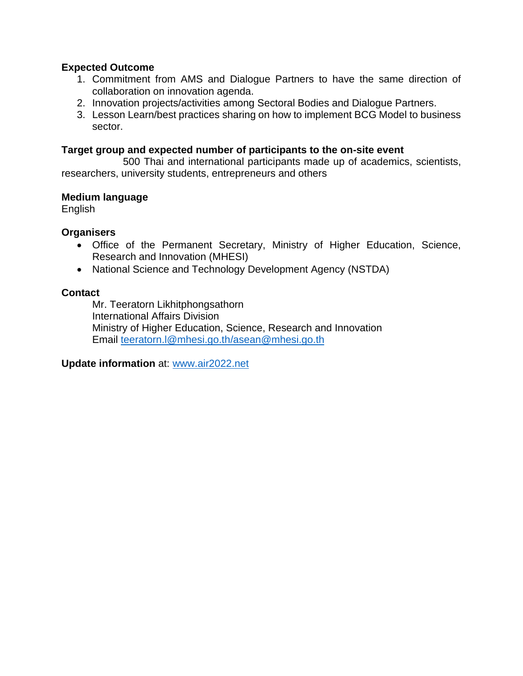## **Expected Outcome**

- 1. Commitment from AMS and Dialogue Partners to have the same direction of collaboration on innovation agenda.
- 2. Innovation projects/activities among Sectoral Bodies and Dialogue Partners.
- 3. Lesson Learn/best practices sharing on how to implement BCG Model to business sector.

#### **Target group and expected number of participants to the on-site event**

500 Thai and international participants made up of academics, scientists, researchers, university students, entrepreneurs and others

## **Medium language**

English

## **Organisers**

- Office of the Permanent Secretary, Ministry of Higher Education, Science, Research and Innovation (MHESI)
- National Science and Technology Development Agency (NSTDA)

## **Contact**

Mr. Teeratorn Likhitphongsathorn International Affairs Division Ministry of Higher Education, Science, Research and Innovation Email [teeratorn.l@mhesi.go.th/asean@mhesi.go.th](mailto:teeratorn.l@mhesi.go.th/asean@mhesi.go.th)

**Update information** at: [www.air2022.net](http://www.air2022.net/)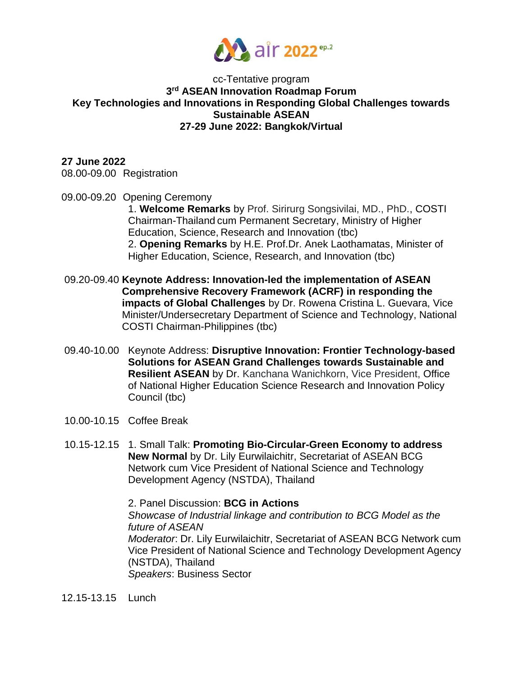

#### cc-Tentative program **3 rd ASEAN Innovation Roadmap Forum Key Technologies and Innovations in Responding Global Challenges towards Sustainable ASEAN 27-29 June 2022: Bangkok/Virtual**

**27 June 2022** 08.00-09.00 Registration

09.00-09.20 Opening Ceremony

1. **Welcome Remarks** by Prof. Sirirurg Songsivilai, MD., PhD., COSTI Chairman-Thailand cum Permanent Secretary, Ministry of Higher Education, Science, Research and Innovation (tbc) 2. **Opening Remarks** by H.E. Prof.Dr. Anek Laothamatas, Minister of Higher Education, Science, Research, and Innovation (tbc)

- 09.20-09.40 **Keynote Address: Innovation-led the implementation of ASEAN Comprehensive Recovery Framework (ACRF) in responding the impacts of Global Challenges** by Dr. Rowena Cristina L. Guevara, Vice Minister/Undersecretary Department of Science and Technology, National COSTI Chairman-Philippines (tbc)
- 09.40-10.00 Keynote Address: **Disruptive Innovation: Frontier Technology-based Solutions for ASEAN Grand Challenges towards Sustainable and Resilient ASEAN** by Dr. Kanchana Wanichkorn, Vice President, Office of National Higher Education Science Research and Innovation Policy Council (tbc)
- 10.00-10.15 Coffee Break
- 10.15-12.15 1. Small Talk: **Promoting Bio-Circular-Green Economy to address New Normal** by Dr. Lily Eurwilaichitr, Secretariat of ASEAN BCG Network cum Vice President of National Science and Technology Development Agency (NSTDA), Thailand

2. Panel Discussion: **BCG in Actions** *Showcase of Industrial linkage and contribution to BCG Model as the future of ASEAN Moderator*: Dr. Lily Eurwilaichitr, Secretariat of ASEAN BCG Network cum Vice President of National Science and Technology Development Agency (NSTDA), Thailand *Speakers*: Business Sector

12.15-13.15 Lunch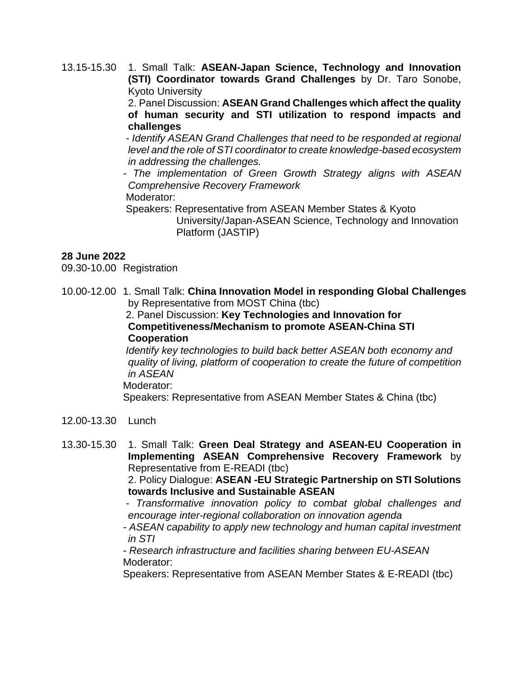13.15-15.30 1. Small Talk: **ASEAN-Japan Science, Technology and Innovation (STI) Coordinator towards Grand Challenges** by Dr. Taro Sonobe, Kyoto University

> 2. Panel Discussion: **ASEAN Grand Challenges which affect the quality of human security and STI utilization to respond impacts and challenges**

> *- Identify ASEAN Grand Challenges that need to be responded at regional level and the role of STI coordinator to create knowledge-based ecosystem in addressing the challenges.*

> *- The implementation of Green Growth Strategy aligns with ASEAN Comprehensive Recovery Framework*  Moderator:

Speakers: Representative from ASEAN Member States & Kyoto

University/Japan-ASEAN Science, Technology and Innovation Platform (JASTIP)

## **28 June 2022**

09.30-10.00 Registration

10.00-12.00 1. Small Talk: **China Innovation Model in responding Global Challenges**  by Representative from MOST China (tbc)

2. Panel Discussion: **Key Technologies and Innovation for Competitiveness/Mechanism to promote ASEAN-China STI Cooperation**

*Identify key technologies to build back better ASEAN both economy and quality of living, platform of cooperation to create the future of competition in ASEAN*

Moderator:

Speakers: Representative from ASEAN Member States & China (tbc)

- 12.00-13.30 Lunch
- 13.30-15.30 1. Small Talk: **Green Deal Strategy and ASEAN-EU Cooperation in Implementing ASEAN Comprehensive Recovery Framework** by Representative from E-READI (tbc)

2. Policy Dialogue: **ASEAN -EU Strategic Partnership on STI Solutions towards Inclusive and Sustainable ASEAN**

- *- Transformative innovation policy to combat global challenges and encourage inter-regional collaboration on innovation agenda*
- *- ASEAN capability to apply new technology and human capital investment in STI*

*- Research infrastructure and facilities sharing between EU-ASEAN* Moderator:

Speakers: Representative from ASEAN Member States & E-READI (tbc)